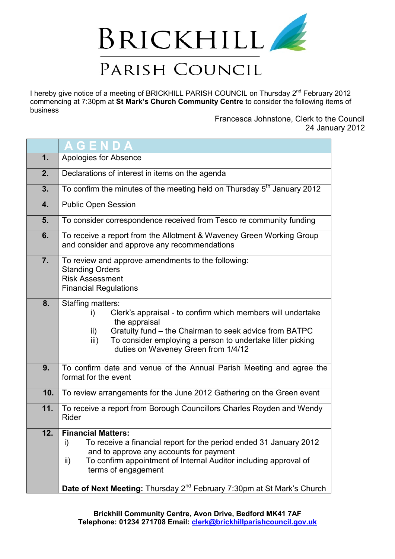

I hereby give notice of a meeting of BRICKHILL PARISH COUNCIL on Thursday 2<sup>nd</sup> February 2012 commencing at 7:30pm at **St Mark's Church Community Centre** to consider the following items of business

> Francesca Johnstone, Clerk to the Council 24 January 2012

|                  | GENDA                                                                                                                                                                                                                                                                                                                                    |
|------------------|------------------------------------------------------------------------------------------------------------------------------------------------------------------------------------------------------------------------------------------------------------------------------------------------------------------------------------------|
| 1.               | Apologies for Absence                                                                                                                                                                                                                                                                                                                    |
| 2.               | Declarations of interest in items on the agenda                                                                                                                                                                                                                                                                                          |
| 3.               | To confirm the minutes of the meeting held on Thursday $5th$ January 2012                                                                                                                                                                                                                                                                |
| 4.               | <b>Public Open Session</b>                                                                                                                                                                                                                                                                                                               |
| 5.               | To consider correspondence received from Tesco re community funding                                                                                                                                                                                                                                                                      |
| 6.               | To receive a report from the Allotment & Waveney Green Working Group<br>and consider and approve any recommendations                                                                                                                                                                                                                     |
| $\overline{7}$ . | To review and approve amendments to the following:<br><b>Standing Orders</b><br><b>Risk Assessment</b><br><b>Financial Regulations</b>                                                                                                                                                                                                   |
| 8.               | Staffing matters:<br>Clerk's appraisal - to confirm which members will undertake<br>i)<br>the appraisal<br>Gratuity fund – the Chairman to seek advice from BATPC<br>ii)<br>To consider employing a person to undertake litter picking<br>iii)<br>duties on Waveney Green from 1/4/12                                                    |
| 9.               | To confirm date and venue of the Annual Parish Meeting and agree the<br>format for the event                                                                                                                                                                                                                                             |
| 10.              | To review arrangements for the June 2012 Gathering on the Green event                                                                                                                                                                                                                                                                    |
| 11.              | To receive a report from Borough Councillors Charles Royden and Wendy<br>Rider                                                                                                                                                                                                                                                           |
| 12.              | <b>Financial Matters:</b><br>i)<br>To receive a financial report for the period ended 31 January 2012<br>and to approve any accounts for payment<br>To confirm appointment of Internal Auditor including approval of<br>ii)<br>terms of engagement<br>Date of Next Meeting: Thursday 2 <sup>nd</sup> February 7:30pm at St Mark's Church |